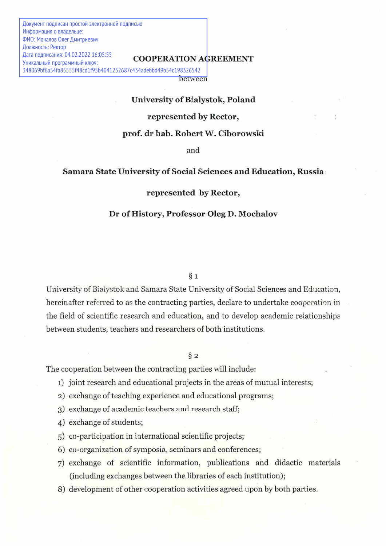Документ подписан простой электронной подписью Информация о владельце: ФИО: Мочалов Олег Дмитриевич Должность: Ректор Дата подписания: 04.02.2022 16:05:55 Уникальный программный ключ:

#### COOPERATION AGREEMENT

between 348069bf6a54fa85555f48cd1f95b4041252687c434adebbd49b54c198326542

# University of Bialystok, Poland

## represented by Rector,

#### prof. dr hab. Robert W. Ciborowski

and

## Samara State University of Social Sciences and Education, Russia

## represented by Rector,

#### Dr of History, Professor Oleg D. Mochalov

 $§$  1

University of Biaivstok and Samara State University of Social Sciences and Education, hereinafter referred to as the contracting parties, declare to undertake cooperation in the field of scientific research and education, and to develop academic relationships between students, teachers and researchers of both institutions.

#### $\S_2$

The cooperation between the contracting parties will include:

- 1) joint research and educational projects in the areas of mutual interests;
- 2) exchange of teaching experience and educational programs;
- 3) exchange of academic teachers and research staff;
- 4) exchange of students;
- 5) co-participation in international scientific projects;
- 6) co-organization of symposia, seminars and conferences;
- 7) exchange of scientific information, publications and didactic materials (including exchanges between the libraries of each institution);
- 8) development of other cooperation activities agreed upon by both parties.